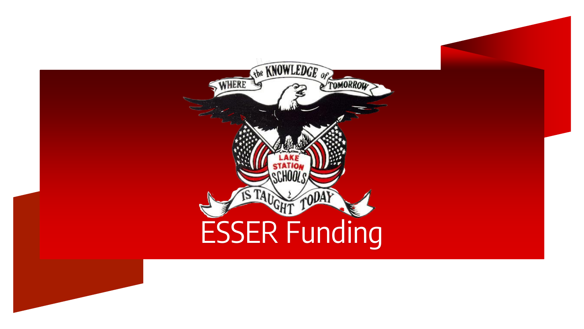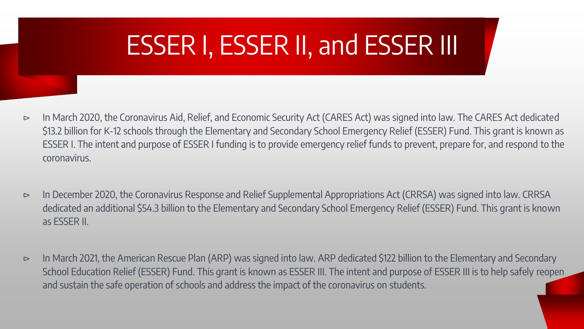# ESSER I, ESSER II, and ESSER III

- ⊳ In March 2020, the Coronavirus Aid, Relief, and Economic Security Act (CARES Act) was signed into law. The CARES Act dedicated \$13.2 billion for K-12 schools through the Elementary and Secondary School Emergency Relief (ESSER) Fund. This grant is known as ESSER I. The intent and purpose of ESSER I funding is to provide emergency relief funds to prevent, prepare for, and respond to the coronavirus.
- ⊳ In December 2020, the Coronavirus Response and Relief Supplemental Appropriations Act (CRRSA) was signed into law. CRRSA dedicated an additional \$54.3 billion to the Elementary and Secondary School Emergency Relief (ESSER) Fund. This grant is known as ESSER II.
- ⊳ In March 2021, the American Rescue Plan (ARP) was signed into law. ARP dedicated \$122 billion to the Elementary and Secondary School Education Relief (ESSER) Fund. This grant is known as ESSER III. The intent and purpose of ESSER III is to help safely reopen and sustain the safe operation of schools and address the impact of the coronavirus on students.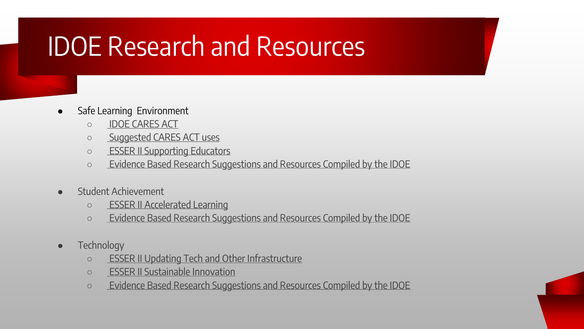## IDOE Research and Resources

- Safe Learning Environment
	- [IDOE CARES ACT](https://www.doe.in.gov/grants/cares-act)
	- [Suggested CARES ACT uses](https://www.doe.in.gov/sites/default/files/grants/cares-act-sugge-45964784.pdf)
	- [ESSER II Supporting Educators](https://create.piktochart.com/output/52363568-mini-site-supporting-educators)
	- [Evidence Based Research Suggestions and Resources Compiled by the IDOE](https://www.doe.in.gov/sites/default/files/grants/esser-ii-data-reference-page.pdf)
- Student Achievement
	- [ESSER II Accelerated Learning](https://create.piktochart.com/output/52363043-mini-site-addressing-learning-loss)
	- [Evidence Based Research Suggestions and Resources Compiled by the IDOE](https://www.doe.in.gov/sites/default/files/grants/esser-ii-data-reference-page.pdf)
- **•** Technology
	- [ESSER II Updating Tech and Other Infrastructure](https://create.piktochart.com/output/52409451-mini-site-sustainable-innovation-copy)
	- [ESSER II Sustainable Innovation](https://create.piktochart.com/output/52409162-mini-site-sustainable-innovation)
	- [Evidence Based Research Suggestions and Resources Compiled by the IDOE](https://www.doe.in.gov/sites/default/files/grants/esser-ii-data-reference-page.pdf)